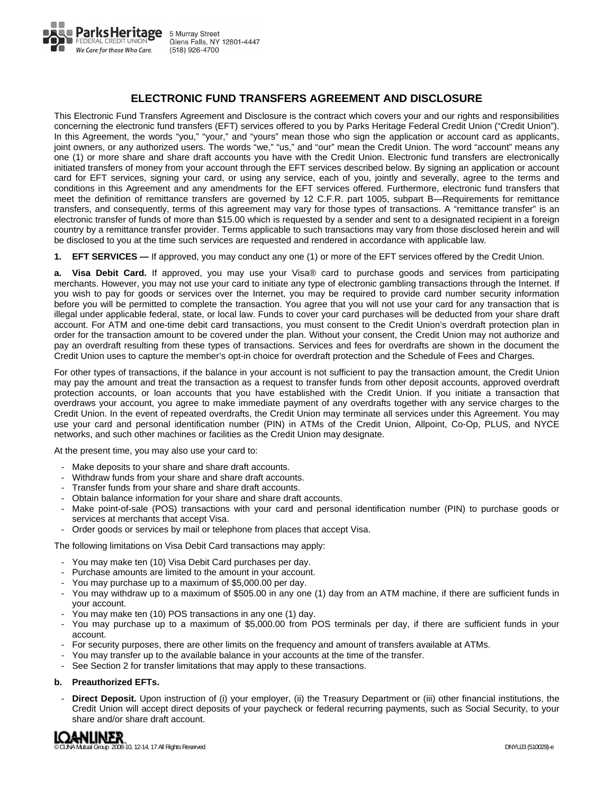

## **ELECTRONIC FUND TRANSFERS AGREEMENT AND DISCLOSURE**

This Electronic Fund Transfers Agreement and Disclosure is the contract which covers your and our rights and responsibilities concerning the electronic fund transfers (EFT) services offered to you by Parks Heritage Federal Credit Union ("Credit Union"). In this Agreement, the words "you," "your," and "yours" mean those who sign the application or account card as applicants, joint owners, or any authorized users. The words "we," "us," and "our" mean the Credit Union. The word "account" means any one (1) or more share and share draft accounts you have with the Credit Union. Electronic fund transfers are electronically initiated transfers of money from your account through the EFT services described below. By signing an application or account card for EFT services, signing your card, or using any service, each of you, jointly and severally, agree to the terms and conditions in this Agreement and any amendments for the EFT services offered. Furthermore, electronic fund transfers that meet the definition of remittance transfers are governed by 12 C.F.R. part 1005, subpart B—Requirements for remittance transfers, and consequently, terms of this agreement may vary for those types of transactions. A "remittance transfer" is an electronic transfer of funds of more than \$15.00 which is requested by a sender and sent to a designated recipient in a foreign country by a remittance transfer provider. Terms applicable to such transactions may vary from those disclosed herein and will be disclosed to you at the time such services are requested and rendered in accordance with applicable law.

**1. EFT SERVICES —** If approved, you may conduct any one (1) or more of the EFT services offered by the Credit Union.

**a. Visa Debit Card.** If approved, you may use your Visa® card to purchase goods and services from participating merchants. However, you may not use your card to initiate any type of electronic gambling transactions through the Internet. If you wish to pay for goods or services over the Internet, you may be required to provide card number security information before you will be permitted to complete the transaction. You agree that you will not use your card for any transaction that is illegal under applicable federal, state, or local law. Funds to cover your card purchases will be deducted from your share draft account. For ATM and one-time debit card transactions, you must consent to the Credit Union's overdraft protection plan in order for the transaction amount to be covered under the plan. Without your consent, the Credit Union may not authorize and pay an overdraft resulting from these types of transactions. Services and fees for overdrafts are shown in the document the Credit Union uses to capture the member's opt-in choice for overdraft protection and the Schedule of Fees and Charges.

For other types of transactions, if the balance in your account is not sufficient to pay the transaction amount, the Credit Union may pay the amount and treat the transaction as a request to transfer funds from other deposit accounts, approved overdraft protection accounts, or loan accounts that you have established with the Credit Union. If you initiate a transaction that overdraws your account, you agree to make immediate payment of any overdrafts together with any service charges to the Credit Union. In the event of repeated overdrafts, the Credit Union may terminate all services under this Agreement. You may use your card and personal identification number (PIN) in ATMs of the Credit Union, Allpoint, Co-Op, PLUS, and NYCE networks, and such other machines or facilities as the Credit Union may designate.

At the present time, you may also use your card to:

- Make deposits to your share and share draft accounts.
- Withdraw funds from your share and share draft accounts.
- Transfer funds from your share and share draft accounts.
- Obtain balance information for your share and share draft accounts.
- Make point-of-sale (POS) transactions with your card and personal identification number (PIN) to purchase goods or services at merchants that accept Visa.
- Order goods or services by mail or telephone from places that accept Visa.

The following limitations on Visa Debit Card transactions may apply:

- You may make ten (10) Visa Debit Card purchases per day.
- Purchase amounts are limited to the amount in your account.
- You may purchase up to a maximum of \$5,000.00 per day.
- You may withdraw up to a maximum of \$505.00 in any one (1) day from an ATM machine, if there are sufficient funds in your account.
- You may make ten (10) POS transactions in any one (1) day.
- You may purchase up to a maximum of \$5,000.00 from POS terminals per day, if there are sufficient funds in your account.
- For security purposes, there are other limits on the frequency and amount of transfers available at ATMs.
- You may transfer up to the available balance in your accounts at the time of the transfer.
- See Section 2 for transfer limitations that may apply to these transactions.

#### **b. Preauthorized EFTs.**

 - **Direct Deposit.** Upon instruction of (i) your employer, (ii) the Treasury Department or (iii) other financial institutions, the Credit Union will accept direct deposits of your paycheck or federal recurring payments, such as Social Security, to your share and/or share draft account.

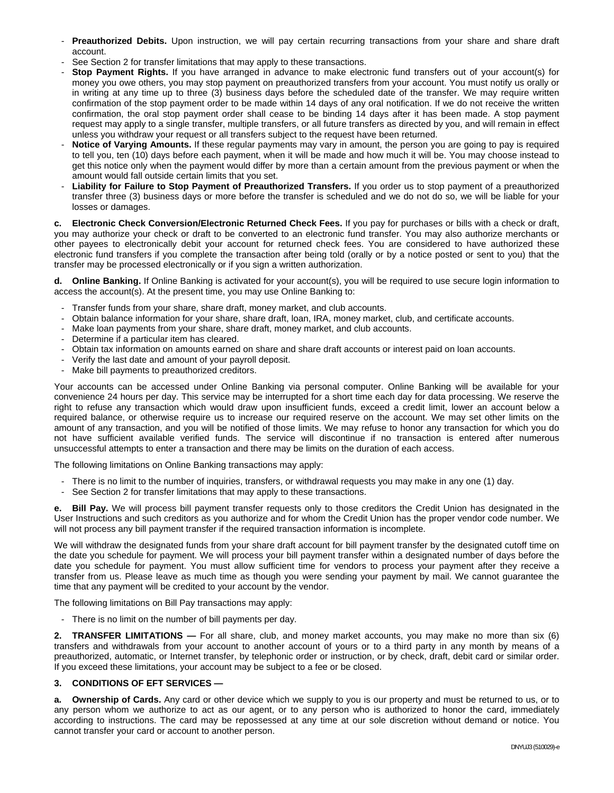- **Preauthorized Debits.** Upon instruction, we will pay certain recurring transactions from your share and share draft account.
- See Section 2 for transfer limitations that may apply to these transactions.
- **Stop Payment Rights.** If you have arranged in advance to make electronic fund transfers out of your account(s) for money you owe others, you may stop payment on preauthorized transfers from your account. You must notify us orally or in writing at any time up to three (3) business days before the scheduled date of the transfer. We may require written confirmation of the stop payment order to be made within 14 days of any oral notification. If we do not receive the written confirmation, the oral stop payment order shall cease to be binding 14 days after it has been made. A stop payment request may apply to a single transfer, multiple transfers, or all future transfers as directed by you, and will remain in effect unless you withdraw your request or all transfers subject to the request have been returned.
- **Notice of Varying Amounts.** If these regular payments may vary in amount, the person you are going to pay is required to tell you, ten (10) days before each payment, when it will be made and how much it will be. You may choose instead to get this notice only when the payment would differ by more than a certain amount from the previous payment or when the amount would fall outside certain limits that you set.
- **Liability for Failure to Stop Payment of Preauthorized Transfers.** If you order us to stop payment of a preauthorized transfer three (3) business days or more before the transfer is scheduled and we do not do so, we will be liable for your losses or damages.

**c. Electronic Check Conversion/Electronic Returned Check Fees.** If you pay for purchases or bills with a check or draft, you may authorize your check or draft to be converted to an electronic fund transfer. You may also authorize merchants or other payees to electronically debit your account for returned check fees. You are considered to have authorized these electronic fund transfers if you complete the transaction after being told (orally or by a notice posted or sent to you) that the transfer may be processed electronically or if you sign a written authorization.

**d. Online Banking.** If Online Banking is activated for your account(s), you will be required to use secure login information to access the account(s). At the present time, you may use Online Banking to:

- Transfer funds from your share, share draft, money market, and club accounts.
- Obtain balance information for your share, share draft, loan, IRA, money market, club, and certificate accounts.
- Make loan payments from your share, share draft, money market, and club accounts.
- Determine if a particular item has cleared.
- Obtain tax information on amounts earned on share and share draft accounts or interest paid on loan accounts.
- Verify the last date and amount of your payroll deposit.
- Make bill payments to preauthorized creditors.

Your accounts can be accessed under Online Banking via personal computer. Online Banking will be available for your convenience 24 hours per day. This service may be interrupted for a short time each day for data processing. We reserve the right to refuse any transaction which would draw upon insufficient funds, exceed a credit limit, lower an account below a required balance, or otherwise require us to increase our required reserve on the account. We may set other limits on the amount of any transaction, and you will be notified of those limits. We may refuse to honor any transaction for which you do not have sufficient available verified funds. The service will discontinue if no transaction is entered after numerous unsuccessful attempts to enter a transaction and there may be limits on the duration of each access.

The following limitations on Online Banking transactions may apply:

- There is no limit to the number of inquiries, transfers, or withdrawal requests you may make in any one (1) day.
- See Section 2 for transfer limitations that may apply to these transactions.

**e. Bill Pay.** We will process bill payment transfer requests only to those creditors the Credit Union has designated in the User Instructions and such creditors as you authorize and for whom the Credit Union has the proper vendor code number. We will not process any bill payment transfer if the required transaction information is incomplete.

We will withdraw the designated funds from your share draft account for bill payment transfer by the designated cutoff time on the date you schedule for payment. We will process your bill payment transfer within a designated number of days before the date you schedule for payment. You must allow sufficient time for vendors to process your payment after they receive a transfer from us. Please leave as much time as though you were sending your payment by mail. We cannot guarantee the time that any payment will be credited to your account by the vendor.

The following limitations on Bill Pay transactions may apply:

- There is no limit on the number of bill payments per day.

**2. TRANSFER LIMITATIONS —** For all share, club, and money market accounts, you may make no more than six (6) transfers and withdrawals from your account to another account of yours or to a third party in any month by means of a preauthorized, automatic, or Internet transfer, by telephonic order or instruction, or by check, draft, debit card or similar order. If you exceed these limitations, your account may be subject to a fee or be closed.

## **3. CONDITIONS OF EFT SERVICES —**

**a. Ownership of Cards.** Any card or other device which we supply to you is our property and must be returned to us, or to any person whom we authorize to act as our agent, or to any person who is authorized to honor the card, immediately according to instructions. The card may be repossessed at any time at our sole discretion without demand or notice. You cannot transfer your card or account to another person.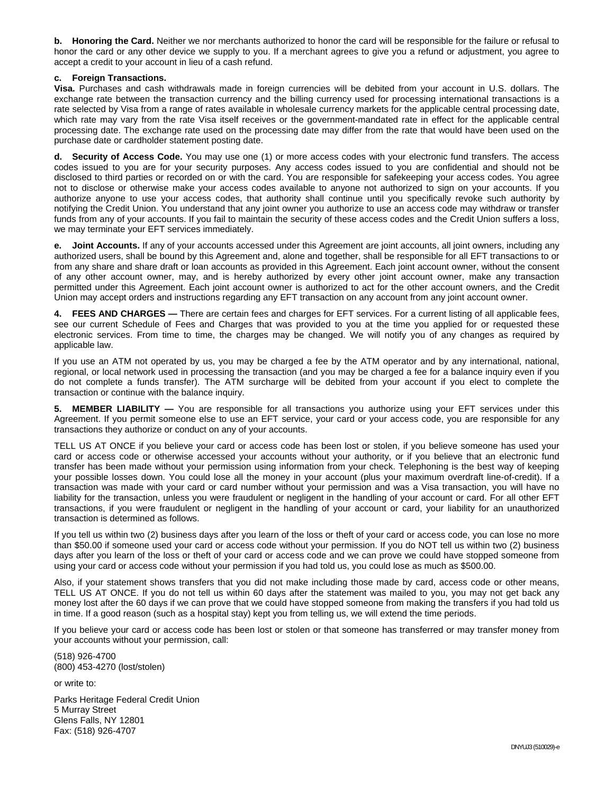**b. Honoring the Card.** Neither we nor merchants authorized to honor the card will be responsible for the failure or refusal to honor the card or any other device we supply to you. If a merchant agrees to give you a refund or adjustment, you agree to accept a credit to your account in lieu of a cash refund.

#### **c. Foreign Transactions.**

**Visa.** Purchases and cash withdrawals made in foreign currencies will be debited from your account in U.S. dollars. The exchange rate between the transaction currency and the billing currency used for processing international transactions is a rate selected by Visa from a range of rates available in wholesale currency markets for the applicable central processing date, which rate may vary from the rate Visa itself receives or the government-mandated rate in effect for the applicable central processing date. The exchange rate used on the processing date may differ from the rate that would have been used on the purchase date or cardholder statement posting date.

**d. Security of Access Code.** You may use one (1) or more access codes with your electronic fund transfers. The access codes issued to you are for your security purposes. Any access codes issued to you are confidential and should not be disclosed to third parties or recorded on or with the card. You are responsible for safekeeping your access codes. You agree not to disclose or otherwise make your access codes available to anyone not authorized to sign on your accounts. If you authorize anyone to use your access codes, that authority shall continue until you specifically revoke such authority by notifying the Credit Union. You understand that any joint owner you authorize to use an access code may withdraw or transfer funds from any of your accounts. If you fail to maintain the security of these access codes and the Credit Union suffers a loss, we may terminate your EFT services immediately.

**Joint Accounts.** If any of your accounts accessed under this Agreement are joint accounts, all joint owners, including any authorized users, shall be bound by this Agreement and, alone and together, shall be responsible for all EFT transactions to or from any share and share draft or loan accounts as provided in this Agreement. Each joint account owner, without the consent of any other account owner, may, and is hereby authorized by every other joint account owner, make any transaction permitted under this Agreement. Each joint account owner is authorized to act for the other account owners, and the Credit Union may accept orders and instructions regarding any EFT transaction on any account from any joint account owner.

**4. FEES AND CHARGES —** There are certain fees and charges for EFT services. For a current listing of all applicable fees, see our current Schedule of Fees and Charges that was provided to you at the time you applied for or requested these electronic services. From time to time, the charges may be changed. We will notify you of any changes as required by applicable law.

If you use an ATM not operated by us, you may be charged a fee by the ATM operator and by any international, national, regional, or local network used in processing the transaction (and you may be charged a fee for a balance inquiry even if you do not complete a funds transfer). The ATM surcharge will be debited from your account if you elect to complete the transaction or continue with the balance inquiry.

**5. MEMBER LIABILITY —** You are responsible for all transactions you authorize using your EFT services under this Agreement. If you permit someone else to use an EFT service, your card or your access code, you are responsible for any transactions they authorize or conduct on any of your accounts.

TELL US AT ONCE if you believe your card or access code has been lost or stolen, if you believe someone has used your card or access code or otherwise accessed your accounts without your authority, or if you believe that an electronic fund transfer has been made without your permission using information from your check. Telephoning is the best way of keeping your possible losses down. You could lose all the money in your account (plus your maximum overdraft line-of-credit). If a transaction was made with your card or card number without your permission and was a Visa transaction, you will have no liability for the transaction, unless you were fraudulent or negligent in the handling of your account or card. For all other EFT transactions, if you were fraudulent or negligent in the handling of your account or card, your liability for an unauthorized transaction is determined as follows.

If you tell us within two (2) business days after you learn of the loss or theft of your card or access code, you can lose no more than \$50.00 if someone used your card or access code without your permission. If you do NOT tell us within two (2) business days after you learn of the loss or theft of your card or access code and we can prove we could have stopped someone from using your card or access code without your permission if you had told us, you could lose as much as \$500.00.

Also, if your statement shows transfers that you did not make including those made by card, access code or other means, TELL US AT ONCE. If you do not tell us within 60 days after the statement was mailed to you, you may not get back any money lost after the 60 days if we can prove that we could have stopped someone from making the transfers if you had told us in time. If a good reason (such as a hospital stay) kept you from telling us, we will extend the time periods.

If you believe your card or access code has been lost or stolen or that someone has transferred or may transfer money from your accounts without your permission, call:

(518) 926-4700 (800) 453-4270 (lost/stolen)

or write to:

Parks Heritage Federal Credit Union 5 Murray Street Glens Falls, NY 12801 Fax: (518) 926-4707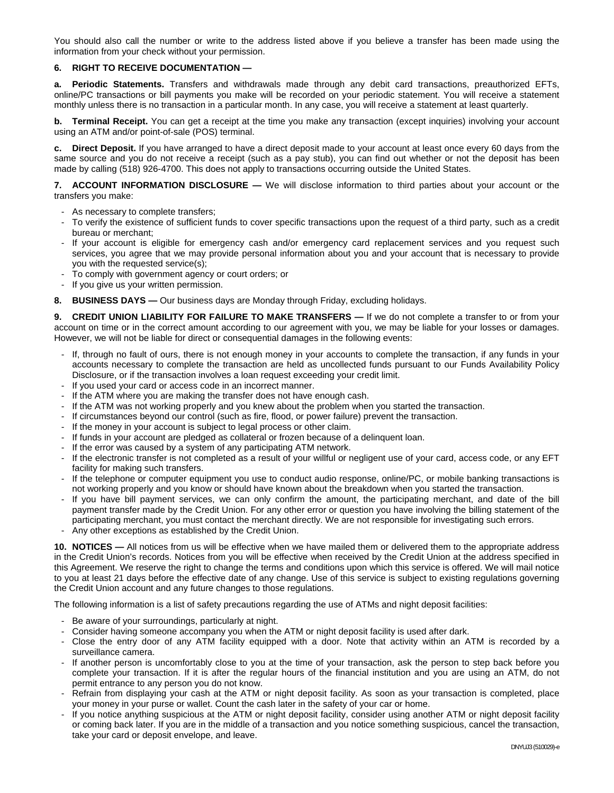You should also call the number or write to the address listed above if you believe a transfer has been made using the information from your check without your permission.

## **6. RIGHT TO RECEIVE DOCUMENTATION —**

**a. Periodic Statements.** Transfers and withdrawals made through any debit card transactions, preauthorized EFTs, online/PC transactions or bill payments you make will be recorded on your periodic statement. You will receive a statement monthly unless there is no transaction in a particular month. In any case, you will receive a statement at least quarterly.

**b.** Terminal Receipt. You can get a receipt at the time you make any transaction (except inquiries) involving your account using an ATM and/or point-of-sale (POS) terminal.

**c. Direct Deposit.** If you have arranged to have a direct deposit made to your account at least once every 60 days from the same source and you do not receive a receipt (such as a pay stub), you can find out whether or not the deposit has been made by calling (518) 926-4700. This does not apply to transactions occurring outside the United States.

**7. ACCOUNT INFORMATION DISCLOSURE —** We will disclose information to third parties about your account or the transfers you make:

- As necessary to complete transfers;
- To verify the existence of sufficient funds to cover specific transactions upon the request of a third party, such as a credit bureau or merchant;
- If your account is eligible for emergency cash and/or emergency card replacement services and you request such services, you agree that we may provide personal information about you and your account that is necessary to provide you with the requested service(s);
- To comply with government agency or court orders; or
- If you give us your written permission.
- **8. BUSINESS DAYS —** Our business days are Monday through Friday, excluding holidays.

**9. CREDIT UNION LIABILITY FOR FAILURE TO MAKE TRANSFERS —** If we do not complete a transfer to or from your account on time or in the correct amount according to our agreement with you, we may be liable for your losses or damages. However, we will not be liable for direct or consequential damages in the following events:

- If, through no fault of ours, there is not enough money in your accounts to complete the transaction, if any funds in your accounts necessary to complete the transaction are held as uncollected funds pursuant to our Funds Availability Policy Disclosure, or if the transaction involves a loan request exceeding your credit limit.
- If you used your card or access code in an incorrect manner.
- If the ATM where you are making the transfer does not have enough cash.
- If the ATM was not working properly and you knew about the problem when you started the transaction.
- If circumstances beyond our control (such as fire, flood, or power failure) prevent the transaction.
- If the money in your account is subject to legal process or other claim.
- If funds in your account are pledged as collateral or frozen because of a delinguent loan.
- If the error was caused by a system of any participating ATM network.
- If the electronic transfer is not completed as a result of your willful or negligent use of your card, access code, or any EFT facility for making such transfers.
- If the telephone or computer equipment you use to conduct audio response, online/PC, or mobile banking transactions is not working properly and you know or should have known about the breakdown when you started the transaction.
- If you have bill payment services, we can only confirm the amount, the participating merchant, and date of the bill payment transfer made by the Credit Union. For any other error or question you have involving the billing statement of the participating merchant, you must contact the merchant directly. We are not responsible for investigating such errors.
- Any other exceptions as established by the Credit Union.

**10. NOTICES —** All notices from us will be effective when we have mailed them or delivered them to the appropriate address in the Credit Union's records. Notices from you will be effective when received by the Credit Union at the address specified in this Agreement. We reserve the right to change the terms and conditions upon which this service is offered. We will mail notice to you at least 21 days before the effective date of any change. Use of this service is subject to existing regulations governing the Credit Union account and any future changes to those regulations.

The following information is a list of safety precautions regarding the use of ATMs and night deposit facilities:

- Be aware of your surroundings, particularly at night.
- Consider having someone accompany you when the ATM or night deposit facility is used after dark.
- Close the entry door of any ATM facility equipped with a door. Note that activity within an ATM is recorded by a surveillance camera.
- If another person is uncomfortably close to you at the time of your transaction, ask the person to step back before you complete your transaction. If it is after the regular hours of the financial institution and you are using an ATM, do not permit entrance to any person you do not know.
- Refrain from displaying your cash at the ATM or night deposit facility. As soon as your transaction is completed, place your money in your purse or wallet. Count the cash later in the safety of your car or home.
- If you notice anything suspicious at the ATM or night deposit facility, consider using another ATM or night deposit facility or coming back later. If you are in the middle of a transaction and you notice something suspicious, cancel the transaction, take your card or deposit envelope, and leave.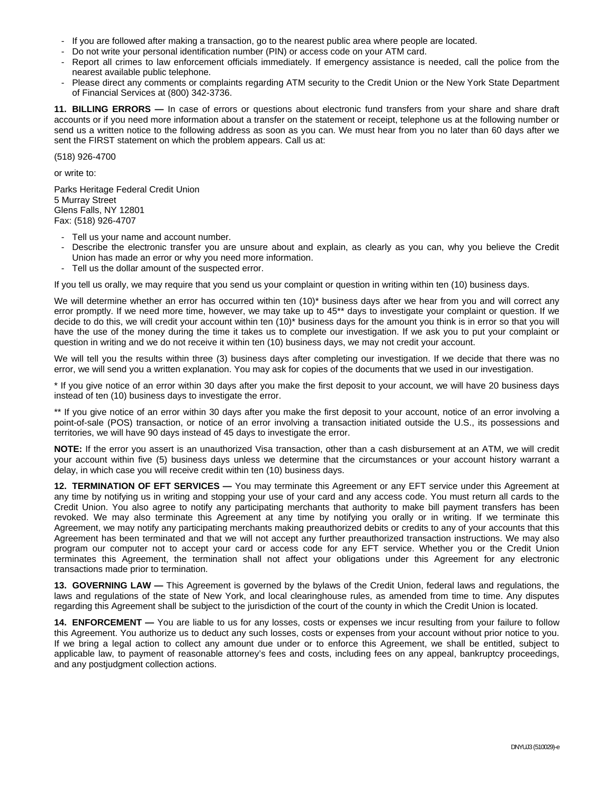- If you are followed after making a transaction, go to the nearest public area where people are located.
- Do not write your personal identification number (PIN) or access code on your ATM card.
- Report all crimes to law enforcement officials immediately. If emergency assistance is needed, call the police from the nearest available public telephone.
- Please direct any comments or complaints regarding ATM security to the Credit Union or the New York State Department of Financial Services at (800) 342-3736.

**11. BILLING ERRORS —** In case of errors or questions about electronic fund transfers from your share and share draft accounts or if you need more information about a transfer on the statement or receipt, telephone us at the following number or send us a written notice to the following address as soon as you can. We must hear from you no later than 60 days after we sent the FIRST statement on which the problem appears. Call us at:

(518) 926-4700

or write to:

Parks Heritage Federal Credit Union 5 Murray Street Glens Falls, NY 12801 Fax: (518) 926-4707

- Tell us your name and account number.
- Describe the electronic transfer you are unsure about and explain, as clearly as you can, why you believe the Credit Union has made an error or why you need more information.
- Tell us the dollar amount of the suspected error.

If you tell us orally, we may require that you send us your complaint or question in writing within ten (10) business days.

We will determine whether an error has occurred within ten (10)<sup>\*</sup> business days after we hear from you and will correct any error promptly. If we need more time, however, we may take up to 45\*\* days to investigate your complaint or question. If we decide to do this, we will credit your account within ten (10)\* business days for the amount you think is in error so that you will have the use of the money during the time it takes us to complete our investigation. If we ask you to put your complaint or question in writing and we do not receive it within ten (10) business days, we may not credit your account.

We will tell you the results within three (3) business days after completing our investigation. If we decide that there was no error, we will send you a written explanation. You may ask for copies of the documents that we used in our investigation.

\* If you give notice of an error within 30 days after you make the first deposit to your account, we will have 20 business days instead of ten (10) business days to investigate the error.

\*\* If you give notice of an error within 30 days after you make the first deposit to your account, notice of an error involving a point-of-sale (POS) transaction, or notice of an error involving a transaction initiated outside the U.S., its possessions and territories, we will have 90 days instead of 45 days to investigate the error.

**NOTE:** If the error you assert is an unauthorized Visa transaction, other than a cash disbursement at an ATM, we will credit your account within five (5) business days unless we determine that the circumstances or your account history warrant a delay, in which case you will receive credit within ten (10) business days.

**12. TERMINATION OF EFT SERVICES —** You may terminate this Agreement or any EFT service under this Agreement at any time by notifying us in writing and stopping your use of your card and any access code. You must return all cards to the Credit Union. You also agree to notify any participating merchants that authority to make bill payment transfers has been revoked. We may also terminate this Agreement at any time by notifying you orally or in writing. If we terminate this Agreement, we may notify any participating merchants making preauthorized debits or credits to any of your accounts that this Agreement has been terminated and that we will not accept any further preauthorized transaction instructions. We may also program our computer not to accept your card or access code for any EFT service. Whether you or the Credit Union terminates this Agreement, the termination shall not affect your obligations under this Agreement for any electronic transactions made prior to termination.

**13. GOVERNING LAW —** This Agreement is governed by the bylaws of the Credit Union, federal laws and regulations, the laws and regulations of the state of New York, and local clearinghouse rules, as amended from time to time. Any disputes regarding this Agreement shall be subject to the jurisdiction of the court of the county in which the Credit Union is located.

**14. ENFORCEMENT** — You are liable to us for any losses, costs or expenses we incur resulting from your failure to follow this Agreement. You authorize us to deduct any such losses, costs or expenses from your account without prior notice to you. If we bring a legal action to collect any amount due under or to enforce this Agreement, we shall be entitled, subject to applicable law, to payment of reasonable attorney's fees and costs, including fees on any appeal, bankruptcy proceedings, and any postjudgment collection actions.